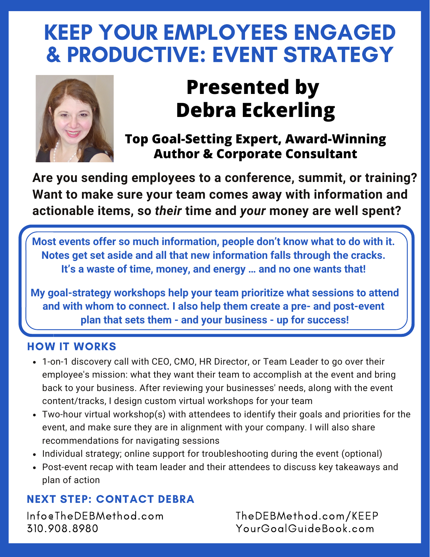# KEEP YOUR EMPLOYEES ENGAGED & PRODUCTIVE: EVENT STRATEGY



# **Presented by Debra Eckerling**

### **Top Goal-Setting Expert, Award-Winning Author & Corporate Consultant**

**Are you sending employees to a conference, summit, or training? Want to make sure your team comes away with information and actionable items, so** *their* **time and** *your* **money are well spent?**

**Most events offer so much information, people don't know what to do with it. Notes get set aside and all that new information falls through the cracks. It's a waste of time, money, and energy … and no one wants that!**

**My goal-strategy workshops help your team prioritize what sessions to attend and with whom to connect. I also help them create a pre- and post-event plan that sets them - and your business - up for success!**

#### HOW IT WORKS

- 1-on-1 discovery call with CEO, CMO, HR Director, or Team Leader to go over their employee's mission: what they want their team to accomplish at the event and bring back to your business. After reviewing your businesses' needs, along with the event content/tracks, I design custom virtual workshops for your team
- Two-hour virtual workshop(s) with attendees to identify their goals and priorities for the event, and make sure they are in alignment with your company. I will also share recommendations for navigating sessions
- Individual strategy; online support for troubleshooting during the event (optional)
- Post-event recap with team leader and their attendees to discuss key takeaways and plan of action

### NEXT STEP: CONTACT DEBRA

Info@TheDEBMethod.com 310.908.8980

TheDEBMethod.com/KEEP YourGoalGuideBook.com